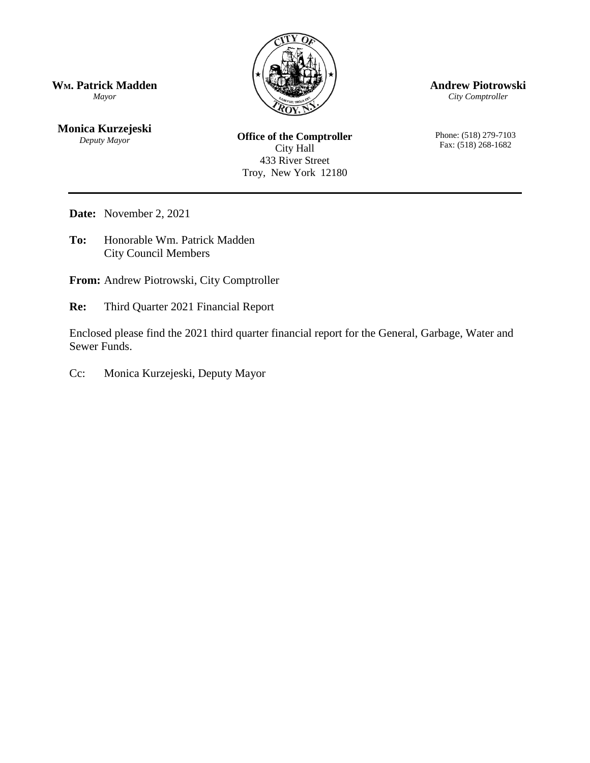

**Andrew Piotrowski**

*City Comptroller*

Phone: (518) 279-7103 Fax: (518) 268-1682

**WM. Patrick Madden** *Mayor*

**Monica Kurzejeski** *Deputy Mayor*

**Office of the Comptroller** City Hall 433 River Street Troy, New York 12180

**Date:** November 2, 2021

**To:** Honorable Wm. Patrick Madden City Council Members

**From:** Andrew Piotrowski, City Comptroller

**Re:** Third Quarter 2021 Financial Report

Enclosed please find the 2021 third quarter financial report for the General, Garbage, Water and Sewer Funds.

Cc: Monica Kurzejeski, Deputy Mayor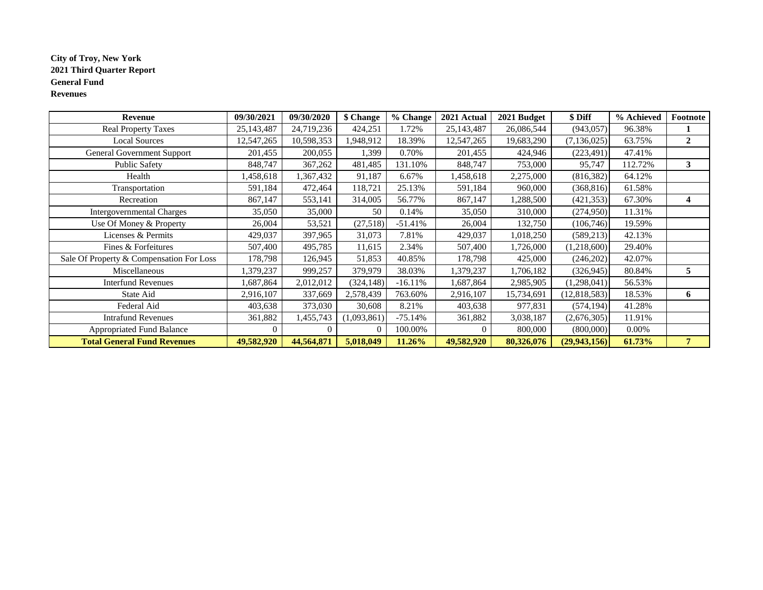### **City of Troy, New York 2021 Third Quarter Report General Fund Revenues**

| Revenue                                  | 09/30/2021 | 09/30/2020 | \$ Change   | % Change  | 2021 Actual  | 2021 Budget | \$ Diff        | % Achieved | Footnote     |
|------------------------------------------|------------|------------|-------------|-----------|--------------|-------------|----------------|------------|--------------|
| <b>Real Property Taxes</b>               | 25,143,487 | 24,719,236 | 424,251     | 1.72%     | 25, 143, 487 | 26,086,544  | (943, 057)     | 96.38%     |              |
| <b>Local Sources</b>                     | 12,547,265 | 10,598,353 | 1,948,912   | 18.39%    | 12,547,265   | 19,683,290  | (7, 136, 025)  | 63.75%     | $\mathbf{2}$ |
| General Government Support               | 201,455    | 200,055    | 1,399       | 0.70%     | 201,455      | 424,946     | (223, 491)     | 47.41%     |              |
| <b>Public Safety</b>                     | 848,747    | 367,262    | 481,485     | 131.10%   | 848,747      | 753,000     | 95,747         | 112.72%    | 3            |
| Health                                   | 1,458,618  | ,367,432   | 91,187      | 6.67%     | .458,618     | 2,275,000   | (816, 382)     | 64.12%     |              |
| Transportation                           | 591,184    | 472,464    | 118,721     | 25.13%    | 591,184      | 960,000     | (368, 816)     | 61.58%     |              |
| Recreation                               | 867,147    | 553,141    | 314,005     | 56.77%    | 867,147      | ,288,500    | (421, 353)     | 67.30%     | 4            |
| <b>Intergovernmental Charges</b>         | 35,050     | 35,000     | 50          | 0.14%     | 35,050       | 310,000     | (274,950)      | 11.31%     |              |
| Use Of Money & Property                  | 26,004     | 53,521     | (27,518)    | $-51.41%$ | 26,004       | 132,750     | (106,746)      | 19.59%     |              |
| Licenses & Permits                       | 429,037    | 397,965    | 31,073      | 7.81%     | 429,037      | 1,018,250   | (589, 213)     | 42.13%     |              |
| Fines & Forfeitures                      | 507,400    | 495,785    | 11,615      | 2.34%     | 507,400      | 1,726,000   | (1,218,600)    | 29.40%     |              |
| Sale Of Property & Compensation For Loss | 178,798    | 126,945    | 51,853      | 40.85%    | 178,798      | 425,000     | (246,202)      | 42.07%     |              |
| Miscellaneous                            | 1,379,237  | 999,257    | 379,979     | 38.03%    | ,379,237     | 1,706,182   | (326, 945)     | 80.84%     | 5            |
| <b>Interfund Revenues</b>                | 1,687,864  | 2,012,012  | (324, 148)  | $-16.11%$ | 1,687,864    | 2,985,905   | (1,298,041)    | 56.53%     |              |
| State Aid                                | 2,916,107  | 337,669    | 2,578,439   | 763.60%   | 2,916,107    | 15,734,691  | (12, 818, 583) | 18.53%     | 6            |
| Federal Aid                              | 403,638    | 373,030    | 30,608      | 8.21%     | 403,638      | 977,831     | (574, 194)     | 41.28%     |              |
| <b>Intrafund Revenues</b>                | 361,882    | 1,455,743  | (1,093,861) | $-75.14%$ | 361,882      | 3,038,187   | (2,676,305)    | 11.91%     |              |
| <b>Appropriated Fund Balance</b>         |            | $\Omega$   | $\Omega$    | 100.00%   |              | 800,000     | (800,000)      | $0.00\%$   |              |
| <b>Total General Fund Revenues</b>       | 49,582,920 | 44,564,871 | 5,018,049   | 11.26%    | 49,582,920   | 80,326,076  | (29, 943, 156) | 61.73%     | 7            |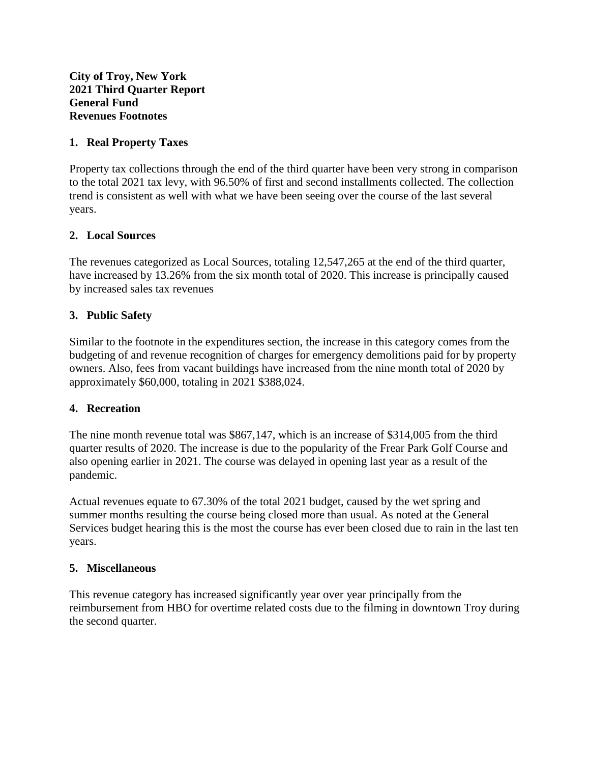## **1. Real Property Taxes**

Property tax collections through the end of the third quarter have been very strong in comparison to the total 2021 tax levy, with 96.50% of first and second installments collected. The collection trend is consistent as well with what we have been seeing over the course of the last several years.

# **2. Local Sources**

The revenues categorized as Local Sources, totaling 12,547,265 at the end of the third quarter, have increased by 13.26% from the six month total of 2020. This increase is principally caused by increased sales tax revenues

# **3. Public Safety**

Similar to the footnote in the expenditures section, the increase in this category comes from the budgeting of and revenue recognition of charges for emergency demolitions paid for by property owners. Also, fees from vacant buildings have increased from the nine month total of 2020 by approximately \$60,000, totaling in 2021 \$388,024.

## **4. Recreation**

The nine month revenue total was \$867,147, which is an increase of \$314,005 from the third quarter results of 2020. The increase is due to the popularity of the Frear Park Golf Course and also opening earlier in 2021. The course was delayed in opening last year as a result of the pandemic.

Actual revenues equate to 67.30% of the total 2021 budget, caused by the wet spring and summer months resulting the course being closed more than usual. As noted at the General Services budget hearing this is the most the course has ever been closed due to rain in the last ten years.

## **5. Miscellaneous**

This revenue category has increased significantly year over year principally from the reimbursement from HBO for overtime related costs due to the filming in downtown Troy during the second quarter.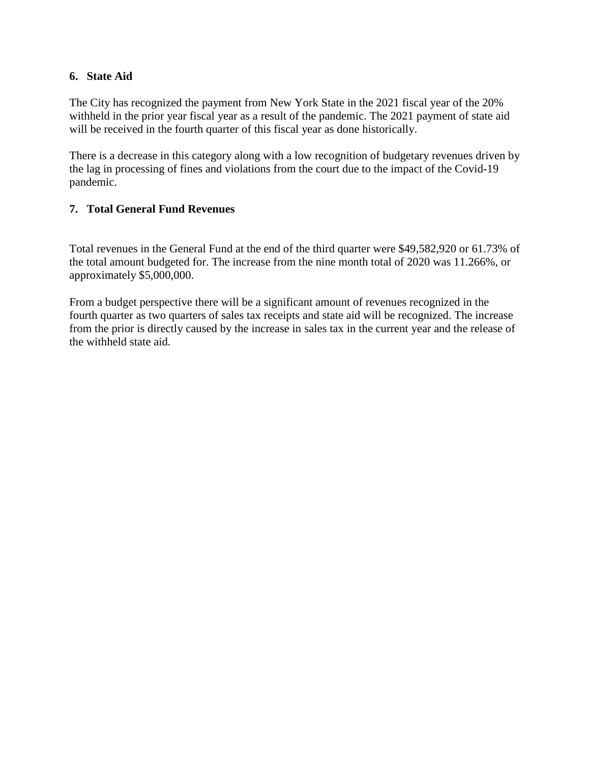### **6. State Aid**

The City has recognized the payment from New York State in the 2021 fiscal year of the 20% withheld in the prior year fiscal year as a result of the pandemic. The 2021 payment of state aid will be received in the fourth quarter of this fiscal year as done historically.

There is a decrease in this category along with a low recognition of budgetary revenues driven by the lag in processing of fines and violations from the court due to the impact of the Covid-19 pandemic.

## **7. Total General Fund Revenues**

Total revenues in the General Fund at the end of the third quarter were \$49,582,920 or 61.73% of the total amount budgeted for. The increase from the nine month total of 2020 was 11.266%, or approximately \$5,000,000.

From a budget perspective there will be a significant amount of revenues recognized in the fourth quarter as two quarters of sales tax receipts and state aid will be recognized. The increase from the prior is directly caused by the increase in sales tax in the current year and the release of the withheld state aid.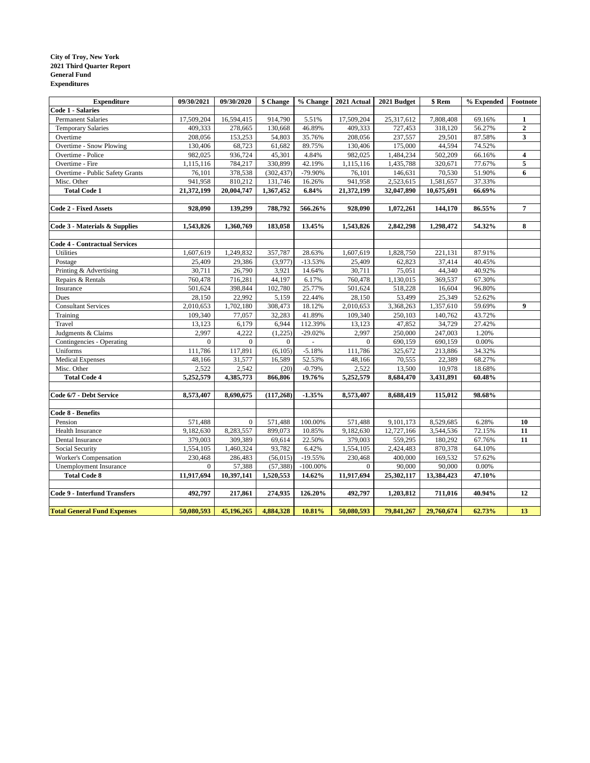#### **City of Troy, New York 2021 Third Quarter Report General Fund Expenditures**

| <b>Expenditure</b>                       | 09/30/2021                 | 09/30/2020           | \$ Change              | % Change              | 2021 Actual                | 2021 Budget             | \$ Rem               | % Expended       | Footnote         |
|------------------------------------------|----------------------------|----------------------|------------------------|-----------------------|----------------------------|-------------------------|----------------------|------------------|------------------|
| <b>Code 1 - Salaries</b>                 |                            |                      |                        |                       |                            |                         |                      |                  |                  |
| <b>Permanent Salaries</b>                | 17,509,204                 | 16,594,415           | 914.790                | 5.51%                 | 17,509,204                 | 25,317,612              | 7,808,408            | 69.16%           | 1                |
| <b>Temporary Salaries</b>                | 409,333                    | 278,665              | 130,668                | 46.89%                | 409,333                    | 727,453                 | 318,120              | 56.27%           | $\mathbf 2$      |
| Overtime                                 | 208,056                    | 153,253              | 54,803                 | 35.76%                | 208,056                    | 237,557                 | 29,501               | 87.58%           | 3                |
| Overtime - Snow Plowing                  | 130,406                    | 68,723               | 61,682                 | 89.75%                | 130,406                    | 175,000                 | 44,594               | 74.52%           |                  |
| Overtime - Police                        | 982,025                    | 936,724              | 45,301                 | 4.84%                 | 982,025                    | 1,484,234               | 502,209              | 66.16%           | $\boldsymbol{4}$ |
| Overtime - Fire                          | 1,115,116                  | 784,217              | 330,899                | 42.19%                | 1,115,116                  | 1,435,788               | 320,671              | 77.67%           | 5                |
| Overtime - Public Safety Grants          | 76,101                     | 378,538              | (302, 437)             | $-79.90%$             | 76,101                     | 146,631                 | 70,530               | 51.90%           | 6                |
| Misc. Other                              | 941,958                    | 810,212              | 131,746                | 16.26%                | 941,958                    | 2,523,615               | 1,581,657            | 37.33%           |                  |
| <b>Total Code 1</b>                      | 21,372,199                 | 20,004,747           | 1,367,452              | 6.84%                 | 21,372,199                 | 32,047,890              | 10,675,691           | 66.69%           |                  |
|                                          |                            |                      |                        |                       |                            |                         |                      |                  |                  |
| <b>Code 2 - Fixed Assets</b>             | 928,090                    | 139,299              | 788,792                | 566.26%               | 928,090                    | 1,072,261               | 144,170              | 86.55%           | 7                |
| Code 3 - Materials & Supplies            | 1,543,826                  | 1,360,769            | 183.058                | 13.45%                | 1,543,826                  | 2,842,298               | 1,298,472            | 54.32%           | 8                |
|                                          |                            |                      |                        |                       |                            |                         |                      |                  |                  |
| <b>Code 4 - Contractual Services</b>     |                            |                      |                        |                       |                            |                         |                      |                  |                  |
| Utilities                                | 1,607,619                  | 1,249,832            | 357,787                | 28.63%                | 1,607,619                  | 1,828,750               | 221,131              | 87.91%           |                  |
| Postage                                  | 25,409                     | 29,386               | (3,977)                | $-13.53%$             | 25,409                     | 62,823                  | 37,414               | 40.45%           |                  |
| Printing & Advertising                   | 30,711                     | 26,790               | 3,921                  | 14.64%                | 30,711                     | 75,051                  | 44,340               | 40.92%           |                  |
| Repairs & Rentals                        | 760,478                    | 716,281              | 44,197                 | 6.17%                 | 760,478                    | 1,130,015               | 369,537              | 67.30%           |                  |
| Insurance                                | 501,624                    | 398,844              | 102,780                | 25.77%                | 501,624                    | 518,228                 | 16,604               | 96.80%           |                  |
| Dues                                     | 28,150                     | 22,992               | 5,159                  | 22.44%                | 28,150                     | 53,499                  | 25,349               | 52.62%           |                  |
| <b>Consultant Services</b>               | 2,010,653                  | 1,702,180            | 308,473                | 18.12%                | 2,010,653                  | 3,368,263               | 1,357,610            | 59.69%           | $\boldsymbol{9}$ |
| Training                                 | 109,340                    | 77,057               | 32,283                 | 41.89%                | 109,340                    | 250,103                 | 140,762              | 43.72%           |                  |
| Travel                                   | 13,123                     | 6,179                | 6,944                  | 112.39%               | 13,123                     | 47,852                  | 34,729               | 27.42%           |                  |
| Judgments & Claims                       | 2,997                      | 4,222                | (1,225)                | $-29.02%$             | 2,997                      | 250,000                 | 247,003              | 1.20%            |                  |
| Contingencies - Operating                | $\mathbf{0}$               | $\overline{0}$       | $\overline{0}$         |                       | $\mathbf{0}$               | 690,159                 | 690,159              | 0.00%            |                  |
| Uniforms                                 | 111,786                    | 117,891              | (6,105)                | $-5.18%$              | 111,786                    | 325,672                 | 213,886              | 34.32%           |                  |
| <b>Medical Expenses</b>                  | 48,166                     | 31,577               | 16,589                 | 52.53%                | 48,166                     | 70,555                  | 22,389               | 68.27%           |                  |
| Misc. Other                              | 2,522                      | 2,542                | (20)                   | $-0.79%$              | 2,522                      | 13,500                  | 10,978               | 18.68%           |                  |
| <b>Total Code 4</b>                      | 5,252,579                  | 4,385,773            | 866,806                | 19.76%                | 5,252,579                  | 8,684,470               | 3,431,891            | 60.48%           |                  |
| Code 6/7 - Debt Service                  | 8,573,407                  | 8,690,675            | (117, 268)             | $-1.35%$              | 8,573,407                  | 8,688,419               | 115,012              | 98.68%           |                  |
|                                          |                            |                      |                        |                       |                            |                         |                      |                  |                  |
| Code 8 - Benefits                        | 571,488                    | $\overline{0}$       | 571,488                | 100.00%               |                            |                         | 8,529,685            | 6.28%            |                  |
| Pension<br>Health Insurance              | 9,182,630                  | 8,283,557            | 899,073                | 10.85%                | 571,488<br>9,182,630       | 9,101,173<br>12,727,166 | 3,544,536            | 72.15%           | 10<br>11         |
|                                          |                            |                      |                        |                       |                            |                         |                      |                  |                  |
| Dental Insurance                         | 379,003                    | 309,389              | 69,614                 | 22.50%                | 379,003                    | 559,295                 | 180,292              | 67.76%           | 11               |
| Social Security<br>Worker's Compensation | 1,554,105<br>230,468       | 1,460,324<br>286,483 | 93,782<br>(56, 015)    | 6.42%<br>$-19.55%$    | 1,554,105<br>230,468       | 2,424,483<br>400,000    | 870,378<br>169,532   | 64.10%<br>57.62% |                  |
|                                          |                            |                      |                        |                       |                            |                         |                      |                  |                  |
| Unemployment Insurance                   | $\mathbf{0}$<br>11,917,694 | 57,388<br>10,397,141 | (57, 388)<br>1,520,553 | $-100.00\%$<br>14.62% | $\mathbf{0}$<br>11,917,694 | 90,000                  | 90,000<br>13,384,423 | 0.00%<br>47.10%  |                  |
| <b>Total Code 8</b>                      |                            |                      |                        |                       |                            | 25,302,117              |                      |                  |                  |
| <b>Code 9 - Interfund Transfers</b>      | 492,797                    | 217,861              | 274,935                | 126.20%               | 492,797                    | 1,203,812               | 711,016              | 40.94%           | 12               |
| <b>Total General Fund Expenses</b>       | 50,080,593                 | 45,196,265           | 4,884,328              | 10.81%                | 50,080,593                 | 79,841,267              | 29,760,674           | 62.73%           | 13               |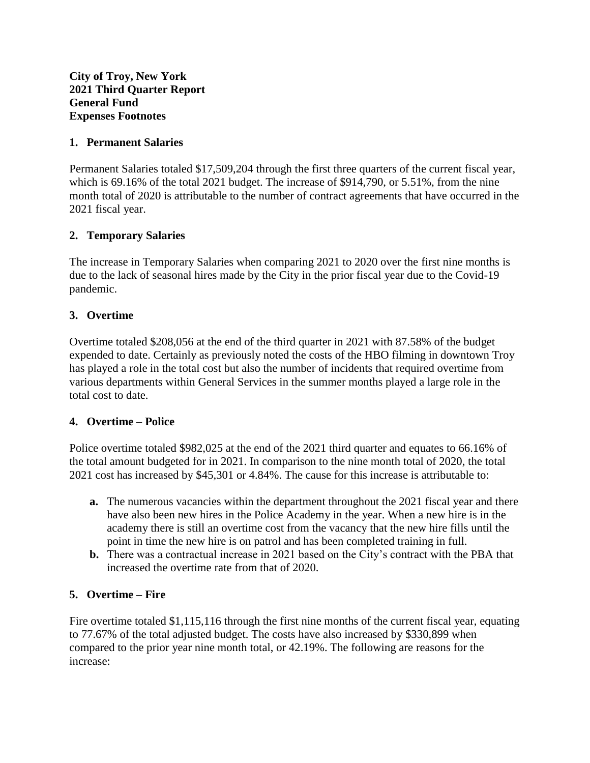## **1. Permanent Salaries**

Permanent Salaries totaled \$17,509,204 through the first three quarters of the current fiscal year, which is 69.16% of the total 2021 budget. The increase of \$914,790, or 5.51%, from the nine month total of 2020 is attributable to the number of contract agreements that have occurred in the 2021 fiscal year.

## **2. Temporary Salaries**

The increase in Temporary Salaries when comparing 2021 to 2020 over the first nine months is due to the lack of seasonal hires made by the City in the prior fiscal year due to the Covid-19 pandemic.

## **3. Overtime**

Overtime totaled \$208,056 at the end of the third quarter in 2021 with 87.58% of the budget expended to date. Certainly as previously noted the costs of the HBO filming in downtown Troy has played a role in the total cost but also the number of incidents that required overtime from various departments within General Services in the summer months played a large role in the total cost to date.

### **4. Overtime – Police**

Police overtime totaled \$982,025 at the end of the 2021 third quarter and equates to 66.16% of the total amount budgeted for in 2021. In comparison to the nine month total of 2020, the total 2021 cost has increased by \$45,301 or 4.84%. The cause for this increase is attributable to:

- **a.** The numerous vacancies within the department throughout the 2021 fiscal year and there have also been new hires in the Police Academy in the year. When a new hire is in the academy there is still an overtime cost from the vacancy that the new hire fills until the point in time the new hire is on patrol and has been completed training in full.
- **b.** There was a contractual increase in 2021 based on the City's contract with the PBA that increased the overtime rate from that of 2020.

## **5. Overtime – Fire**

Fire overtime totaled \$1,115,116 through the first nine months of the current fiscal year, equating to 77.67% of the total adjusted budget. The costs have also increased by \$330,899 when compared to the prior year nine month total, or 42.19%. The following are reasons for the increase: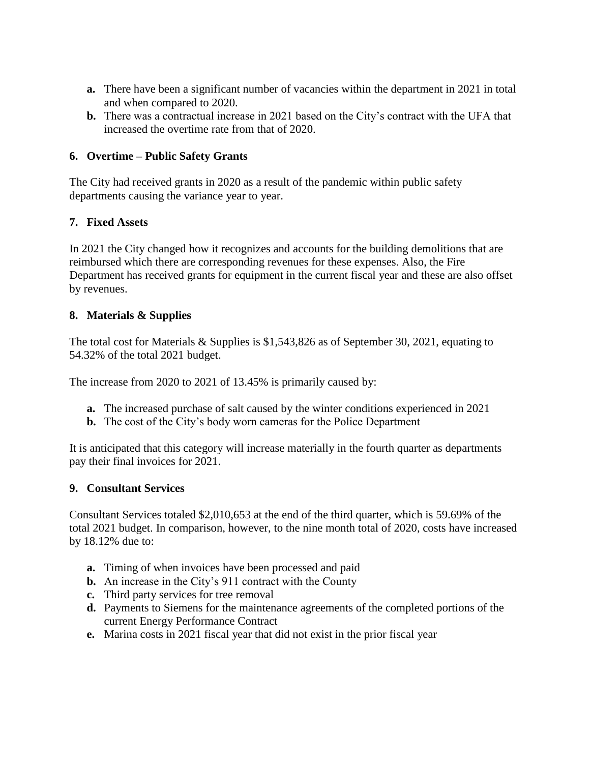- **a.** There have been a significant number of vacancies within the department in 2021 in total and when compared to 2020.
- **b.** There was a contractual increase in 2021 based on the City's contract with the UFA that increased the overtime rate from that of 2020.

## **6. Overtime – Public Safety Grants**

The City had received grants in 2020 as a result of the pandemic within public safety departments causing the variance year to year.

## **7. Fixed Assets**

In 2021 the City changed how it recognizes and accounts for the building demolitions that are reimbursed which there are corresponding revenues for these expenses. Also, the Fire Department has received grants for equipment in the current fiscal year and these are also offset by revenues.

## **8. Materials & Supplies**

The total cost for Materials & Supplies is \$1,543,826 as of September 30, 2021, equating to 54.32% of the total 2021 budget.

The increase from 2020 to 2021 of 13.45% is primarily caused by:

- **a.** The increased purchase of salt caused by the winter conditions experienced in 2021
- **b.** The cost of the City's body worn cameras for the Police Department

It is anticipated that this category will increase materially in the fourth quarter as departments pay their final invoices for 2021.

### **9. Consultant Services**

Consultant Services totaled \$2,010,653 at the end of the third quarter, which is 59.69% of the total 2021 budget. In comparison, however, to the nine month total of 2020, costs have increased by 18.12% due to:

- **a.** Timing of when invoices have been processed and paid
- **b.** An increase in the City's 911 contract with the County
- **c.** Third party services for tree removal
- **d.** Payments to Siemens for the maintenance agreements of the completed portions of the current Energy Performance Contract
- **e.** Marina costs in 2021 fiscal year that did not exist in the prior fiscal year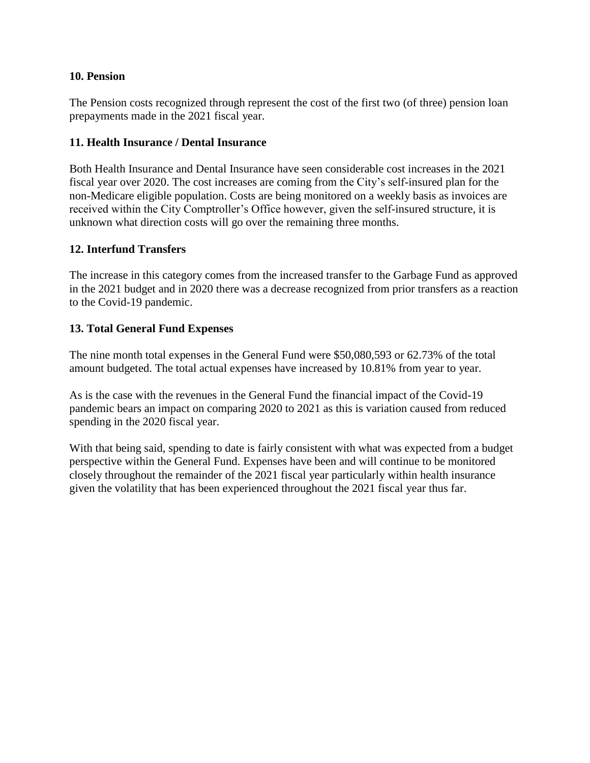## **10. Pension**

The Pension costs recognized through represent the cost of the first two (of three) pension loan prepayments made in the 2021 fiscal year.

## **11. Health Insurance / Dental Insurance**

Both Health Insurance and Dental Insurance have seen considerable cost increases in the 2021 fiscal year over 2020. The cost increases are coming from the City's self-insured plan for the non-Medicare eligible population. Costs are being monitored on a weekly basis as invoices are received within the City Comptroller's Office however, given the self-insured structure, it is unknown what direction costs will go over the remaining three months.

## **12. Interfund Transfers**

The increase in this category comes from the increased transfer to the Garbage Fund as approved in the 2021 budget and in 2020 there was a decrease recognized from prior transfers as a reaction to the Covid-19 pandemic.

## **13. Total General Fund Expenses**

The nine month total expenses in the General Fund were \$50,080,593 or 62.73% of the total amount budgeted. The total actual expenses have increased by 10.81% from year to year.

As is the case with the revenues in the General Fund the financial impact of the Covid-19 pandemic bears an impact on comparing 2020 to 2021 as this is variation caused from reduced spending in the 2020 fiscal year.

With that being said, spending to date is fairly consistent with what was expected from a budget perspective within the General Fund. Expenses have been and will continue to be monitored closely throughout the remainder of the 2021 fiscal year particularly within health insurance given the volatility that has been experienced throughout the 2021 fiscal year thus far.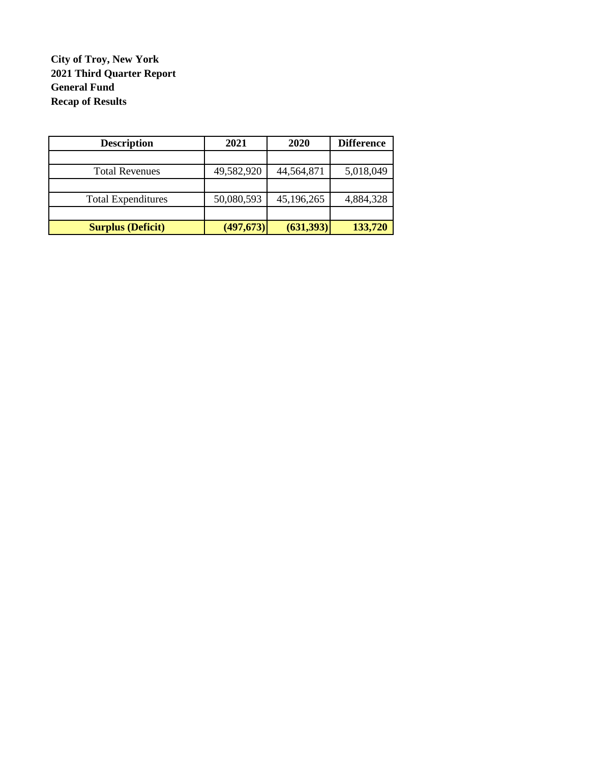# **City of Troy, New York 2021 Third Quarter Report General Fund Recap of Results**

| <b>Description</b>        | 2021       | 2020       | <b>Difference</b> |
|---------------------------|------------|------------|-------------------|
|                           |            |            |                   |
| <b>Total Revenues</b>     | 49,582,920 | 44,564,871 | 5,018,049         |
|                           |            |            |                   |
| <b>Total Expenditures</b> | 50,080,593 | 45,196,265 | 4,884,328         |
|                           |            |            |                   |
| <b>Surplus (Deficit)</b>  | (497, 673) | (631,393)  | 133,720           |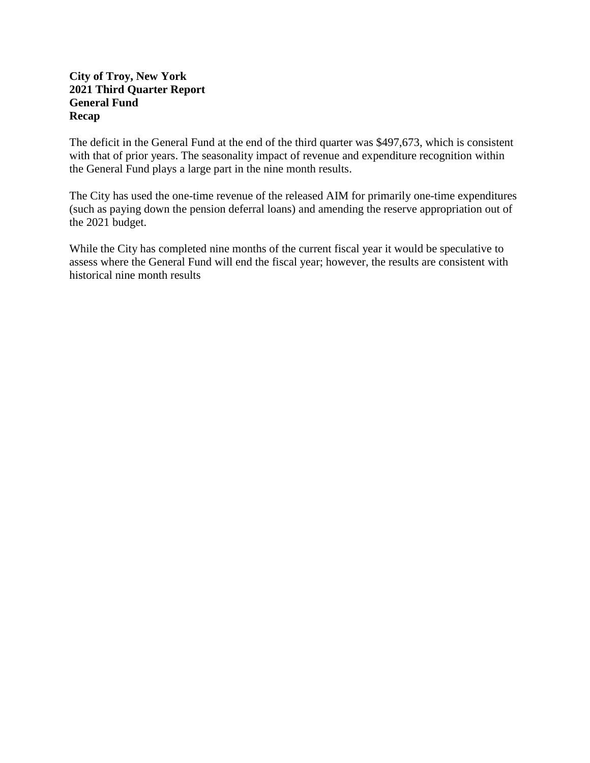## **City of Troy, New York 2021 Third Quarter Report General Fund Recap**

The deficit in the General Fund at the end of the third quarter was \$497,673, which is consistent with that of prior years. The seasonality impact of revenue and expenditure recognition within the General Fund plays a large part in the nine month results.

The City has used the one-time revenue of the released AIM for primarily one-time expenditures (such as paying down the pension deferral loans) and amending the reserve appropriation out of the 2021 budget.

While the City has completed nine months of the current fiscal year it would be speculative to assess where the General Fund will end the fiscal year; however, the results are consistent with historical nine month results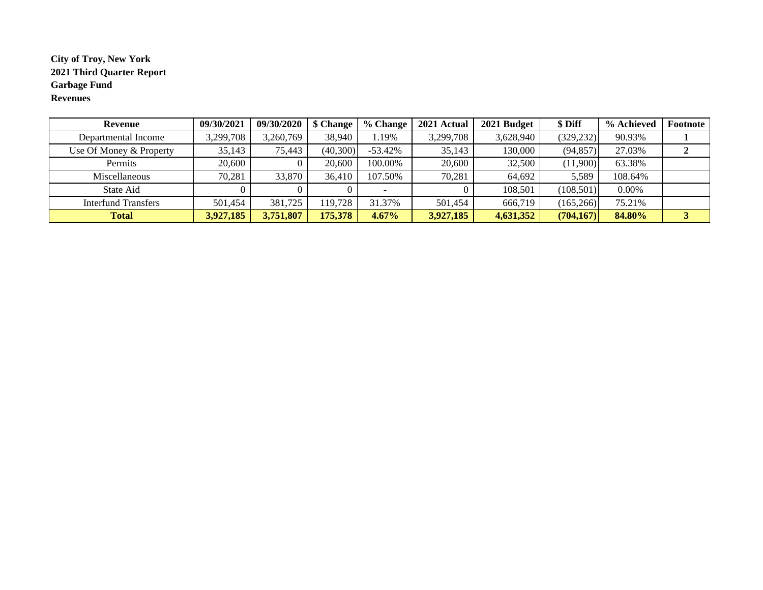### **City of Troy, New York 2021 Third Quarter Report Garbage Fund Revenues**

| <b>Revenue</b>          | 09/30/2021 | 09/30/2020 | \$ Change | % Change  | 2021 Actual | 2021 Budget | \$ Diff    | % Achieved | Footnote |
|-------------------------|------------|------------|-----------|-----------|-------------|-------------|------------|------------|----------|
| Departmental Income     | 3,299,708  | 3,260,769  | 38,940    | 1.19%     | 3,299,708   | 3,628,940   | (329, 232) | 90.93%     |          |
| Use Of Money & Property | 35.143     | 75.443     | (40,300)  | $-53.42%$ | 35,143      | 130,000     | (94, 857)  | 27.03%     |          |
| Permits                 | 20,600     |            | 20,600    | 100.00%   | 20,600      | 32,500      | (11,900)   | 63.38%     |          |
| Miscellaneous           | 70,281     | 33,870     | 36.410    | 107.50%   | 70,281      | 64.692      | 5.589      | 108.64%    |          |
| State Aid               |            |            |           |           |             | 108.501     | (108, 501) | 0.00%      |          |
| Interfund Transfers     | 501.454    | 381,725    | 119,728   | 31.37%    | 501,454     | 666,719     | (165, 266) | 75.21%     |          |
| <b>Total</b>            | 3,927,185  | 3,751,807  | 175,378   | 4.67%     | 3,927,185   | 4,631,352   | (704, 167) | 84.80%     |          |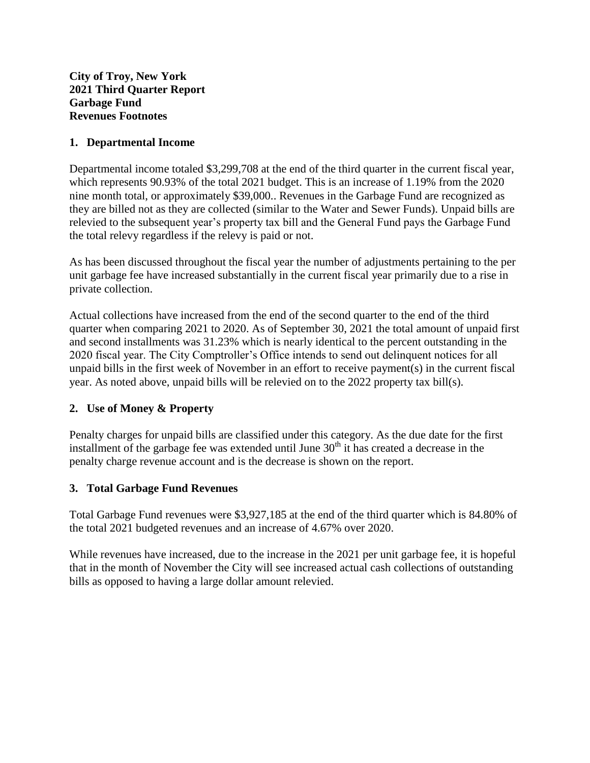## **1. Departmental Income**

Departmental income totaled \$3,299,708 at the end of the third quarter in the current fiscal year, which represents 90.93% of the total 2021 budget. This is an increase of 1.19% from the 2020 nine month total, or approximately \$39,000.. Revenues in the Garbage Fund are recognized as they are billed not as they are collected (similar to the Water and Sewer Funds). Unpaid bills are relevied to the subsequent year's property tax bill and the General Fund pays the Garbage Fund the total relevy regardless if the relevy is paid or not.

As has been discussed throughout the fiscal year the number of adjustments pertaining to the per unit garbage fee have increased substantially in the current fiscal year primarily due to a rise in private collection.

Actual collections have increased from the end of the second quarter to the end of the third quarter when comparing 2021 to 2020. As of September 30, 2021 the total amount of unpaid first and second installments was 31.23% which is nearly identical to the percent outstanding in the 2020 fiscal year. The City Comptroller's Office intends to send out delinquent notices for all unpaid bills in the first week of November in an effort to receive payment(s) in the current fiscal year. As noted above, unpaid bills will be relevied on to the 2022 property tax bill(s).

## **2. Use of Money & Property**

Penalty charges for unpaid bills are classified under this category. As the due date for the first installment of the garbage fee was extended until June  $30<sup>th</sup>$  it has created a decrease in the penalty charge revenue account and is the decrease is shown on the report.

## **3. Total Garbage Fund Revenues**

Total Garbage Fund revenues were \$3,927,185 at the end of the third quarter which is 84.80% of the total 2021 budgeted revenues and an increase of 4.67% over 2020.

While revenues have increased, due to the increase in the 2021 per unit garbage fee, it is hopeful that in the month of November the City will see increased actual cash collections of outstanding bills as opposed to having a large dollar amount relevied.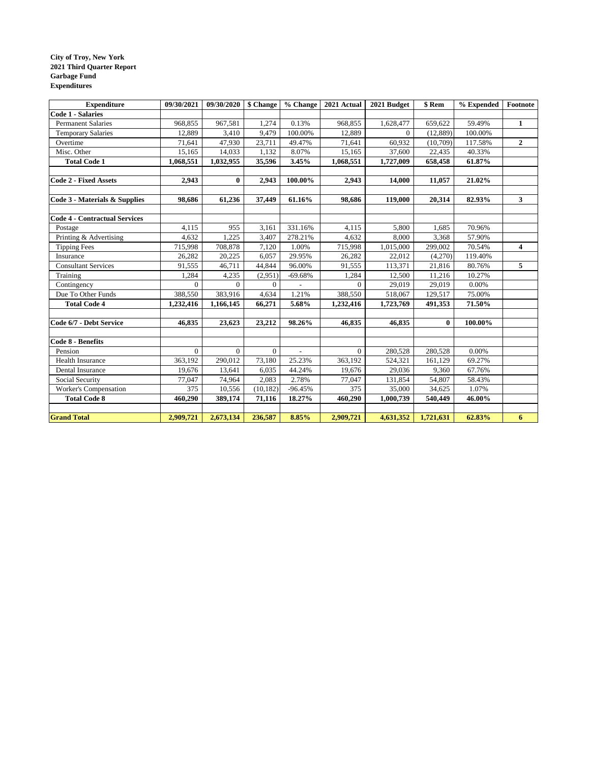#### **City of Troy, New York 2021 Third Quarter Report Garbage Fund Expenditures**

| <b>Expenditure</b>                   | 09/30/2021   | 09/30/2020 | \$ Change | % Change                 | 2021 Actual  | 2021 Budget | \$ Rem       | % Expended | Footnote     |
|--------------------------------------|--------------|------------|-----------|--------------------------|--------------|-------------|--------------|------------|--------------|
| <b>Code 1 - Salaries</b>             |              |            |           |                          |              |             |              |            |              |
| <b>Permanent Salaries</b>            | 968,855      | 967,581    | 1,274     | 0.13%                    | 968,855      | 1,628,477   | 659,622      | 59.49%     | 1            |
| <b>Temporary Salaries</b>            | 12,889       | 3,410      | 9,479     | 100.00%                  | 12,889       | $\Omega$    | (12, 889)    | 100.00%    |              |
| Overtime                             | 71,641       | 47,930     | 23,711    | 49.47%                   | 71,641       | 60,932      | (10,709)     | 117.58%    | $\mathbf{2}$ |
| Misc. Other                          | 15,165       | 14.033     | 1,132     | 8.07%                    | 15,165       | 37,600      | 22,435       | 40.33%     |              |
| <b>Total Code 1</b>                  | 1,068,551    | 1,032,955  | 35,596    | 3.45%                    | 1,068,551    | 1,727,009   | 658,458      | 61.87%     |              |
|                                      |              |            |           |                          |              |             |              |            |              |
| <b>Code 2 - Fixed Assets</b>         | 2,943        | $\bf{0}$   | 2,943     | 100.00%                  | 2,943        | 14,000      | 11,057       | 21.02%     |              |
|                                      |              |            |           |                          |              |             |              |            |              |
| Code 3 - Materials & Supplies        | 98,686       | 61,236     | 37,449    | 61.16%                   | 98,686       | 119,000     | 20,314       | 82.93%     | 3            |
|                                      |              |            |           |                          |              |             |              |            |              |
| <b>Code 4 - Contractual Services</b> |              |            |           |                          |              |             |              |            |              |
| Postage                              | 4,115        | 955        | 3,161     | 331.16%                  | 4,115        | 5,800       | 1,685        | 70.96%     |              |
| Printing & Advertising               | 4,632        | 1,225      | 3,407     | 278.21%                  | 4,632        | 8,000       | 3,368        | 57.90%     |              |
| <b>Tipping Fees</b>                  | 715,998      | 708,878    | 7,120     | 1.00%                    | 715,998      | 1,015,000   | 299,002      | 70.54%     | 4            |
| Insurance                            | 26,282       | 20,225     | 6,057     | 29.95%                   | 26,282       | 22,012      | (4,270)      | 119.40%    |              |
| <b>Consultant Services</b>           | 91,555       | 46,711     | 44,844    | 96.00%                   | 91,555       | 113,371     | 21,816       | 80.76%     | 5            |
| Training                             | 1,284        | 4,235      | (2,951)   | $-69.68%$                | 1,284        | 12,500      | 11,216       | 10.27%     |              |
| Contingency                          | $\Omega$     | $\Omega$   | $\Omega$  |                          | $\Omega$     | 29,019      | 29,019       | 0.00%      |              |
| Due To Other Funds                   | 388,550      | 383,916    | 4,634     | 1.21%                    | 388,550      | 518,067     | 129,517      | 75.00%     |              |
| <b>Total Code 4</b>                  | 1,232,416    | 1,166,145  | 66,271    | 5.68%                    | 1,232,416    | 1,723,769   | 491,353      | 71.50%     |              |
|                                      |              |            |           |                          |              |             |              |            |              |
| Code 6/7 - Debt Service              | 46,835       | 23,623     | 23,212    | 98.26%                   | 46,835       | 46,835      | $\mathbf{0}$ | 100.00%    |              |
|                                      |              |            |           |                          |              |             |              |            |              |
| Code 8 - Benefits                    |              |            |           |                          |              |             |              |            |              |
| Pension                              | $\mathbf{0}$ | $\Omega$   | $\theta$  | $\overline{\phantom{a}}$ | $\mathbf{0}$ | 280,528     | 280,528      | 0.00%      |              |
| <b>Health Insurance</b>              | 363,192      | 290,012    | 73,180    | 25.23%                   | 363,192      | 524,321     | 161,129      | 69.27%     |              |
| Dental Insurance                     | 19,676       | 13,641     | 6,035     | 44.24%                   | 19,676       | 29,036      | 9,360        | 67.76%     |              |
| Social Security                      | 77,047       | 74,964     | 2,083     | 2.78%                    | 77,047       | 131,854     | 54,807       | 58.43%     |              |
| Worker's Compensation                | 375          | 10,556     | (10, 182) | $-96.45%$                | 375          | 35,000      | 34,625       | 1.07%      |              |
| <b>Total Code 8</b>                  | 460,290      | 389,174    | 71,116    | 18.27%                   | 460,290      | 1,000,739   | 540,449      | 46.00%     |              |
|                                      |              |            |           |                          |              |             |              |            |              |
| <b>Grand Total</b>                   | 2,909,721    | 2,673,134  | 236,587   | 8.85%                    | 2,909,721    | 4,631,352   | 1,721,631    | 62.83%     | 6            |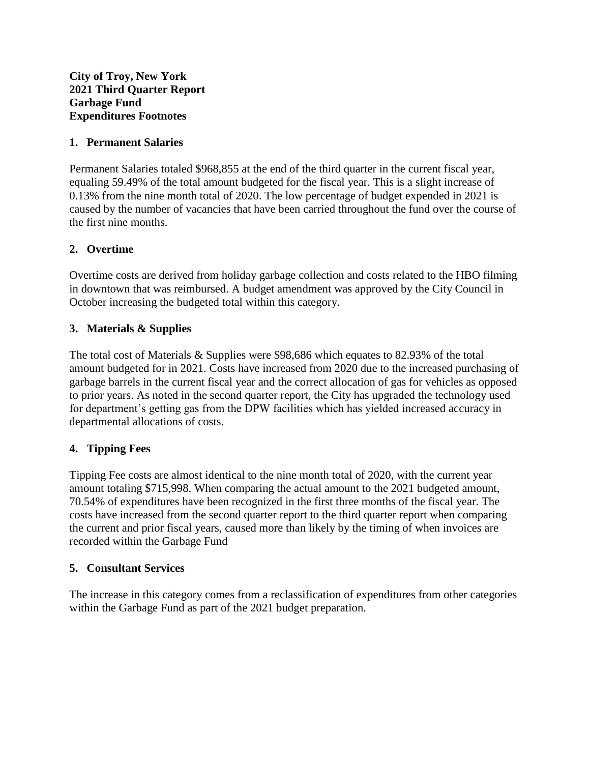**City of Troy, New York 2021 Third Quarter Report Garbage Fund Expenditures Footnotes**

## **1. Permanent Salaries**

Permanent Salaries totaled \$968,855 at the end of the third quarter in the current fiscal year, equaling 59.49% of the total amount budgeted for the fiscal year. This is a slight increase of 0.13% from the nine month total of 2020. The low percentage of budget expended in 2021 is caused by the number of vacancies that have been carried throughout the fund over the course of the first nine months.

## **2. Overtime**

Overtime costs are derived from holiday garbage collection and costs related to the HBO filming in downtown that was reimbursed. A budget amendment was approved by the City Council in October increasing the budgeted total within this category.

## **3. Materials & Supplies**

The total cost of Materials & Supplies were \$98,686 which equates to 82.93% of the total amount budgeted for in 2021. Costs have increased from 2020 due to the increased purchasing of garbage barrels in the current fiscal year and the correct allocation of gas for vehicles as opposed to prior years. As noted in the second quarter report, the City has upgraded the technology used for department's getting gas from the DPW facilities which has yielded increased accuracy in departmental allocations of costs.

## **4. Tipping Fees**

Tipping Fee costs are almost identical to the nine month total of 2020, with the current year amount totaling \$715,998. When comparing the actual amount to the 2021 budgeted amount, 70.54% of expenditures have been recognized in the first three months of the fiscal year. The costs have increased from the second quarter report to the third quarter report when comparing the current and prior fiscal years, caused more than likely by the timing of when invoices are recorded within the Garbage Fund

### **5. Consultant Services**

The increase in this category comes from a reclassification of expenditures from other categories within the Garbage Fund as part of the 2021 budget preparation.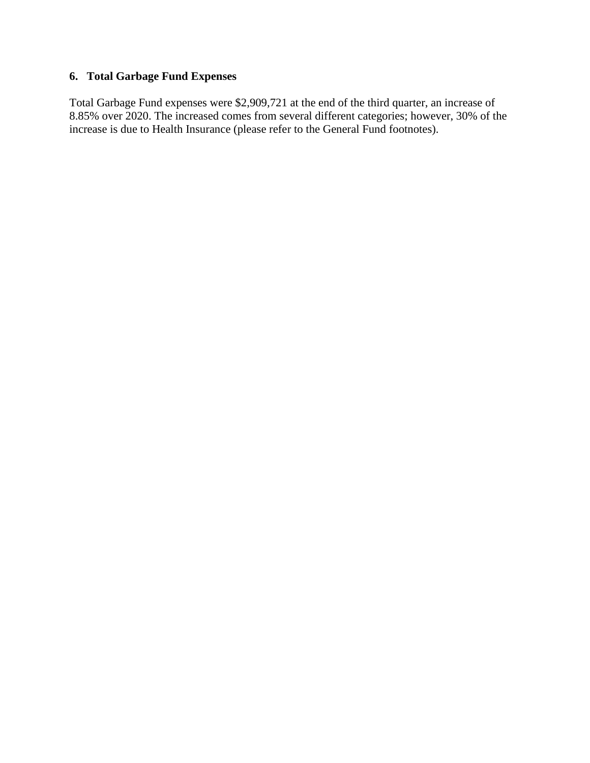# **6. Total Garbage Fund Expenses**

Total Garbage Fund expenses were \$2,909,721 at the end of the third quarter, an increase of 8.85% over 2020. The increased comes from several different categories; however, 30% of the increase is due to Health Insurance (please refer to the General Fund footnotes).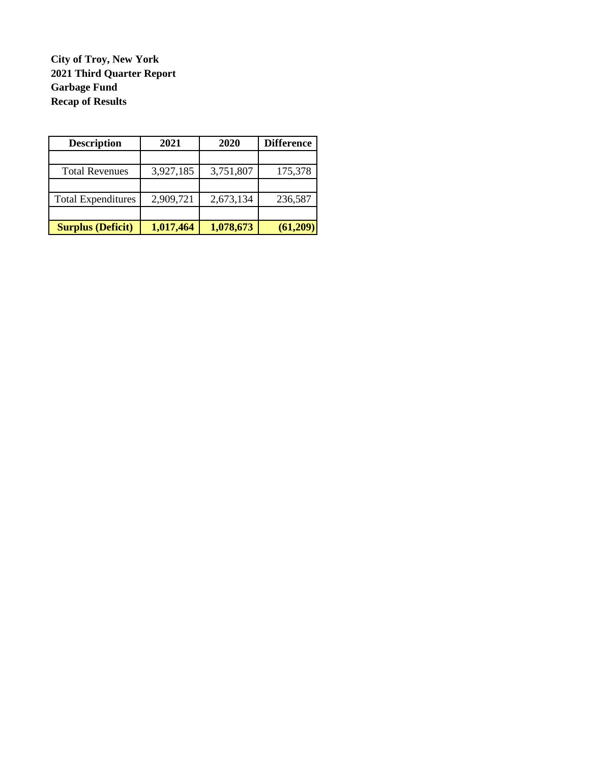**City of Troy, New York 2021 Third Quarter Report Garbage Fund Recap of Results**

| <b>Description</b>        | 2021      | 2020      | <b>Difference</b> |  |
|---------------------------|-----------|-----------|-------------------|--|
|                           |           |           |                   |  |
| <b>Total Revenues</b>     | 3,927,185 | 3,751,807 | 175,378           |  |
|                           |           |           |                   |  |
| <b>Total Expenditures</b> | 2,909,721 | 2,673,134 | 236,587           |  |
|                           |           |           |                   |  |
| <b>Surplus (Deficit)</b>  | 1,017,464 | 1,078,673 | (61,209)          |  |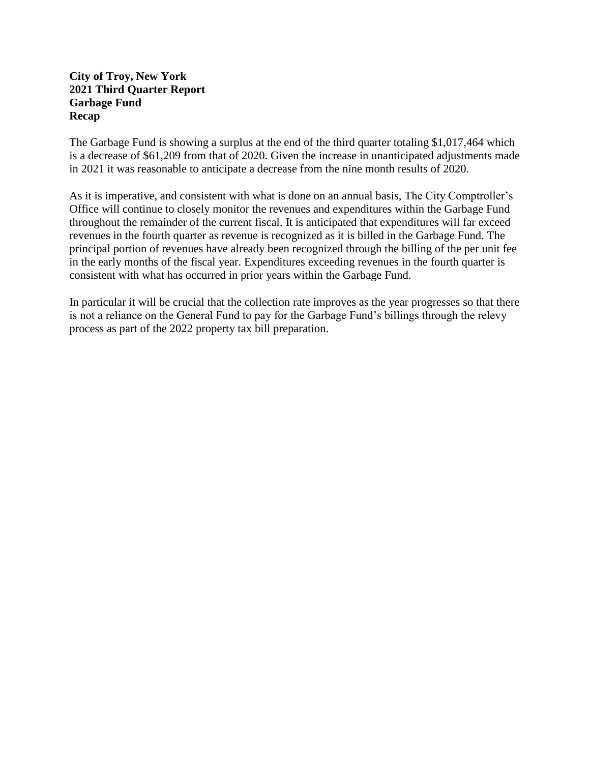### **City of Troy, New York 2021 Third Quarter Report Garbage Fund Recap**

The Garbage Fund is showing a surplus at the end of the third quarter totaling \$1,017,464 which is a decrease of \$61,209 from that of 2020. Given the increase in unanticipated adjustments made in 2021 it was reasonable to anticipate a decrease from the nine month results of 2020.

As it is imperative, and consistent with what is done on an annual basis, The City Comptroller's Office will continue to closely monitor the revenues and expenditures within the Garbage Fund throughout the remainder of the current fiscal. It is anticipated that expenditures will far exceed revenues in the fourth quarter as revenue is recognized as it is billed in the Garbage Fund. The principal portion of revenues have already been recognized through the billing of the per unit fee in the early months of the fiscal year. Expenditures exceeding revenues in the fourth quarter is consistent with what has occurred in prior years within the Garbage Fund.

In particular it will be crucial that the collection rate improves as the year progresses so that there is not a reliance on the General Fund to pay for the Garbage Fund's billings through the relevy process as part of the 2022 property tax bill preparation.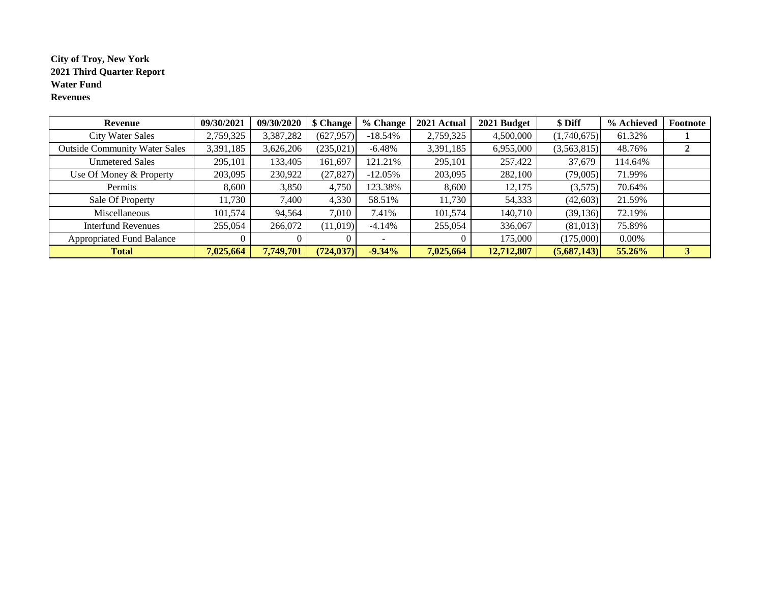### **City of Troy, New York 2021 Third Quarter Report Water Fund Revenues**

| Revenue                              | 09/30/2021 | 09/30/2020 | \$ Change  | % Change   | 2021 Actual | 2021 Budget | \$ Diff     | % Achieved | Footnote |
|--------------------------------------|------------|------------|------------|------------|-------------|-------------|-------------|------------|----------|
| <b>City Water Sales</b>              | 2,759,325  | 3,387,282  | (627, 957) | $-18.54\%$ | 2,759,325   | 4,500,000   | (1,740,675) | 61.32%     |          |
| <b>Outside Community Water Sales</b> | 3,391,185  | 3,626,206  | (235, 021) | $-6.48%$   | 3,391,185   | 6,955,000   | (3,563,815) | 48.76%     |          |
| <b>Unmetered Sales</b>               | 295,101    | 133,405    | 161,697    | 121.21%    | 295,101     | 257,422     | 37,679      | 114.64%    |          |
| Use Of Money & Property              | 203,095    | 230,922    | (27, 827)  | $-12.05%$  | 203,095     | 282,100     | (79,005)    | 71.99%     |          |
| Permits                              | 8,600      | 3,850      | 4,750      | 123.38%    | 8,600       | 12,175      | (3,575)     | 70.64%     |          |
| Sale Of Property                     | 11,730     | 7,400      | 4,330      | 58.51%     | 11,730      | 54,333      | (42,603)    | 21.59%     |          |
| Miscellaneous                        | 101,574    | 94,564     | 7,010      | 7.41%      | 101,574     | 140,710     | (39, 136)   | 72.19%     |          |
| <b>Interfund Revenues</b>            | 255,054    | 266,072    | (11,019)   | $-4.14%$   | 255,054     | 336,067     | (81,013)    | 75.89%     |          |
| <b>Appropriated Fund Balance</b>     |            |            |            |            |             | 175,000     | (175,000)   | 0.00%      |          |
| <b>Total</b>                         | 7,025,664  | 7,749,701  | (724, 037) | $-9.34%$   | 7,025,664   | 12,712,807  | (5,687,143) | 55.26%     | 3        |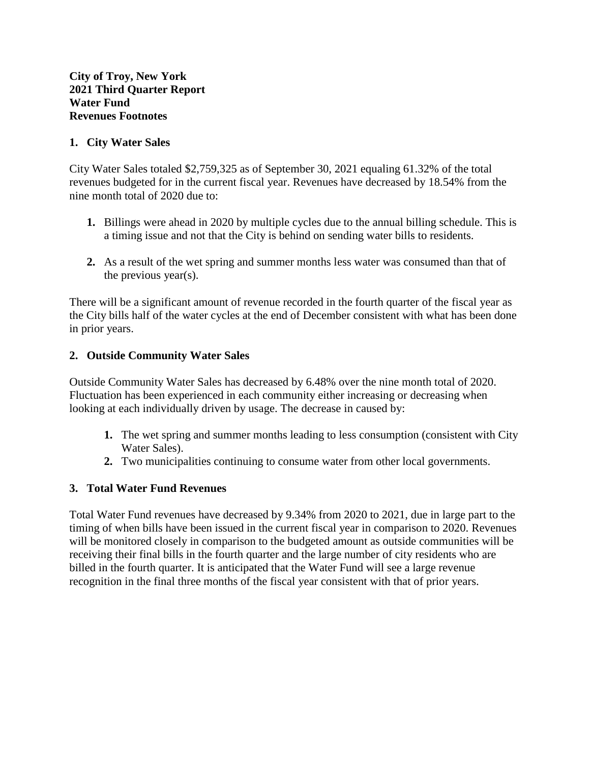## **1. City Water Sales**

City Water Sales totaled \$2,759,325 as of September 30, 2021 equaling 61.32% of the total revenues budgeted for in the current fiscal year. Revenues have decreased by 18.54% from the nine month total of 2020 due to:

- **1.** Billings were ahead in 2020 by multiple cycles due to the annual billing schedule. This is a timing issue and not that the City is behind on sending water bills to residents.
- **2.** As a result of the wet spring and summer months less water was consumed than that of the previous year(s).

There will be a significant amount of revenue recorded in the fourth quarter of the fiscal year as the City bills half of the water cycles at the end of December consistent with what has been done in prior years.

## **2. Outside Community Water Sales**

Outside Community Water Sales has decreased by 6.48% over the nine month total of 2020. Fluctuation has been experienced in each community either increasing or decreasing when looking at each individually driven by usage. The decrease in caused by:

- **1.** The wet spring and summer months leading to less consumption (consistent with City Water Sales).
- **2.** Two municipalities continuing to consume water from other local governments.

## **3. Total Water Fund Revenues**

Total Water Fund revenues have decreased by 9.34% from 2020 to 2021, due in large part to the timing of when bills have been issued in the current fiscal year in comparison to 2020. Revenues will be monitored closely in comparison to the budgeted amount as outside communities will be receiving their final bills in the fourth quarter and the large number of city residents who are billed in the fourth quarter. It is anticipated that the Water Fund will see a large revenue recognition in the final three months of the fiscal year consistent with that of prior years.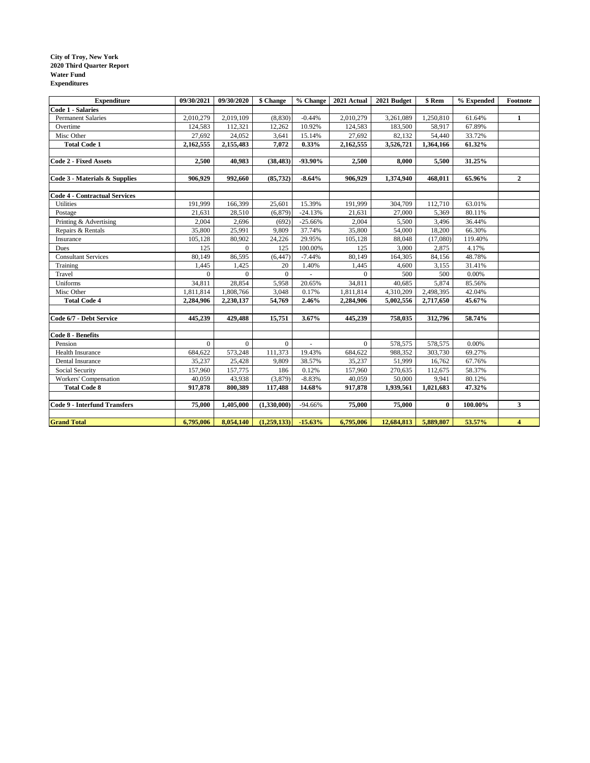#### **City of Troy, New York 2020 Third Quarter Report Water Fund Expenditures**

| <b>Expenditure</b>                   | 09/30/2021   | 09/30/2020   | \$ Change      | % Change                 | 2021 Actual    | 2021 Budget | \$ Rem    | % Expended | Footnote                |
|--------------------------------------|--------------|--------------|----------------|--------------------------|----------------|-------------|-----------|------------|-------------------------|
| <b>Code 1 - Salaries</b>             |              |              |                |                          |                |             |           |            |                         |
| <b>Permanent Salaries</b>            | 2,010,279    | 2,019,109    | (8, 830)       | $-0.44%$                 | 2,010,279      | 3,261,089   | 1,250,810 | 61.64%     | 1                       |
| Overtime                             | 124,583      | 112,321      | 12,262         | 10.92%                   | 124,583        | 183,500     | 58,917    | 67.89%     |                         |
| Misc Other                           | 27,692       | 24,052       | 3,641          | 15.14%                   | 27,692         | 82,132      | 54,440    | 33.72%     |                         |
| <b>Total Code 1</b>                  | 2,162,555    | 2,155,483    | 7,072          | 0.33%                    | 2,162,555      | 3,526,721   | 1,364,166 | 61.32%     |                         |
|                                      |              |              |                |                          |                |             |           |            |                         |
| <b>Code 2 - Fixed Assets</b>         | 2,500        | 40,983       | (38, 483)      | -93.90%                  | 2,500          | 8,000       | 5,500     | 31.25%     |                         |
|                                      |              |              |                |                          |                |             |           |            |                         |
| Code 3 - Materials & Supplies        | 906,929      | 992,660      | (85, 732)      | $-8.64%$                 | 906,929        | 1,374,940   | 468,011   | 65.96%     | $\overline{2}$          |
|                                      |              |              |                |                          |                |             |           |            |                         |
| <b>Code 4 - Contractual Services</b> |              |              |                |                          |                |             |           |            |                         |
| <b>Utilities</b>                     | 191,999      | 166,399      | 25,601         | 15.39%                   | 191,999        | 304,709     | 112,710   | 63.01%     |                         |
| Postage                              | 21,631       | 28,510       | (6, 879)       | $-24.13%$                | 21,631         | 27,000      | 5,369     | 80.11%     |                         |
| Printing & Advertising               | 2,004        | 2,696        | (692)          | $-25.66%$                | 2,004          | 5,500       | 3,496     | 36.44%     |                         |
| Repairs & Rentals                    | 35,800       | 25,991       | 9.809          | 37.74%                   | 35,800         | 54,000      | 18.200    | 66.30%     |                         |
| Insurance                            | 105,128      | 80,902       | 24,226         | 29.95%                   | 105,128        | 88,048      | (17,080)  | 119.40%    |                         |
| Dues                                 | 125          | $\mathbf{0}$ | 125            | 100.00%                  | 125            | 3,000       | 2,875     | 4.17%      |                         |
| <b>Consultant Services</b>           | 80,149       | 86,595       | (6, 447)       | $-7.44%$                 | 80,149         | 164,305     | 84,156    | 48.78%     |                         |
| Training                             | 1,445        | 1,425        | 20             | 1.40%                    | 1,445          | 4,600       | 3,155     | 31.41%     |                         |
| Travel                               | $\Omega$     | $\Omega$     | $\overline{0}$ | $\overline{\phantom{a}}$ | $\Omega$       | 500         | 500       | 0.00%      |                         |
| Uniforms                             | 34,811       | 28,854       | 5,958          | 20.65%                   | 34,811         | 40,685      | 5,874     | 85.56%     |                         |
| Misc Other                           | 1,811,814    | 1,808,766    | 3,048          | 0.17%                    | 1,811,814      | 4,310,209   | 2,498,395 | 42.04%     |                         |
| <b>Total Code 4</b>                  | 2,284,906    | 2,230,137    | 54,769         | 2.46%                    | 2,284,906      | 5,002,556   | 2,717,650 | 45.67%     |                         |
|                                      |              |              |                |                          |                |             |           |            |                         |
| Code 6/7 - Debt Service              | 445,239      | 429,488      | 15,751         | 3.67%                    | 445,239        | 758,035     | 312,796   | 58.74%     |                         |
|                                      |              |              |                |                          |                |             |           |            |                         |
| Code 8 - Benefits                    |              |              |                |                          |                |             |           |            |                         |
| Pension                              | $\mathbf{0}$ | $\mathbf{0}$ | $\Omega$       | $\overline{\phantom{a}}$ | $\overline{0}$ | 578,575     | 578,575   | 0.00%      |                         |
| Health Insurance                     | 684,622      | 573,248      | 111,373        | 19.43%                   | 684,622        | 988,352     | 303,730   | 69.27%     |                         |
| Dental Insurance                     | 35,237       | 25,428       | 9,809          | 38.57%                   | 35,237         | 51,999      | 16,762    | 67.76%     |                         |
| Social Security                      | 157,960      | 157,775      | 186            | 0.12%                    | 157,960        | 270,635     | 112,675   | 58.37%     |                         |
| Workers' Compensation                | 40,059       | 43,938       | (3,879)        | $-8.83%$                 | 40,059         | 50,000      | 9,941     | 80.12%     |                         |
| <b>Total Code 8</b>                  | 917,878      | 800,389      | 117,488        | 14.68%                   | 917,878        | 1,939,561   | 1,021,683 | 47.32%     |                         |
|                                      |              |              |                |                          |                |             |           |            |                         |
| <b>Code 9 - Interfund Transfers</b>  | 75,000       | 1,405,000    | (1,330,000)    | $-94.66%$                | 75,000         | 75,000      | $\bf{0}$  | 100.00%    | $\mathbf{3}$            |
|                                      |              |              |                |                          |                |             |           |            |                         |
| <b>Grand Total</b>                   | 6,795,006    | 8,054,140    | (1,259,133)    | $-15.63%$                | 6,795,006      | 12,684,813  | 5,889,807 | 53.57%     | $\overline{\mathbf{4}}$ |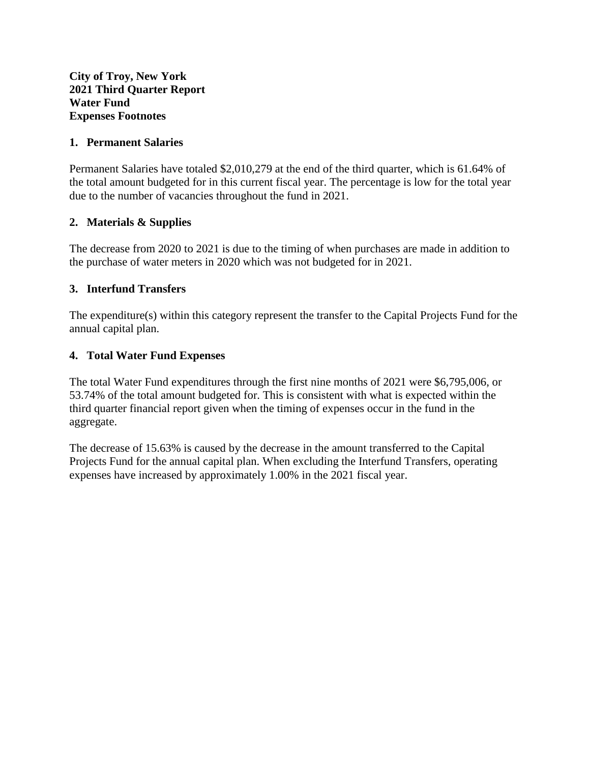## **1. Permanent Salaries**

Permanent Salaries have totaled \$2,010,279 at the end of the third quarter, which is 61.64% of the total amount budgeted for in this current fiscal year. The percentage is low for the total year due to the number of vacancies throughout the fund in 2021.

## **2. Materials & Supplies**

The decrease from 2020 to 2021 is due to the timing of when purchases are made in addition to the purchase of water meters in 2020 which was not budgeted for in 2021.

## **3. Interfund Transfers**

The expenditure(s) within this category represent the transfer to the Capital Projects Fund for the annual capital plan.

## **4. Total Water Fund Expenses**

The total Water Fund expenditures through the first nine months of 2021 were \$6,795,006, or 53.74% of the total amount budgeted for. This is consistent with what is expected within the third quarter financial report given when the timing of expenses occur in the fund in the aggregate.

The decrease of 15.63% is caused by the decrease in the amount transferred to the Capital Projects Fund for the annual capital plan. When excluding the Interfund Transfers, operating expenses have increased by approximately 1.00% in the 2021 fiscal year.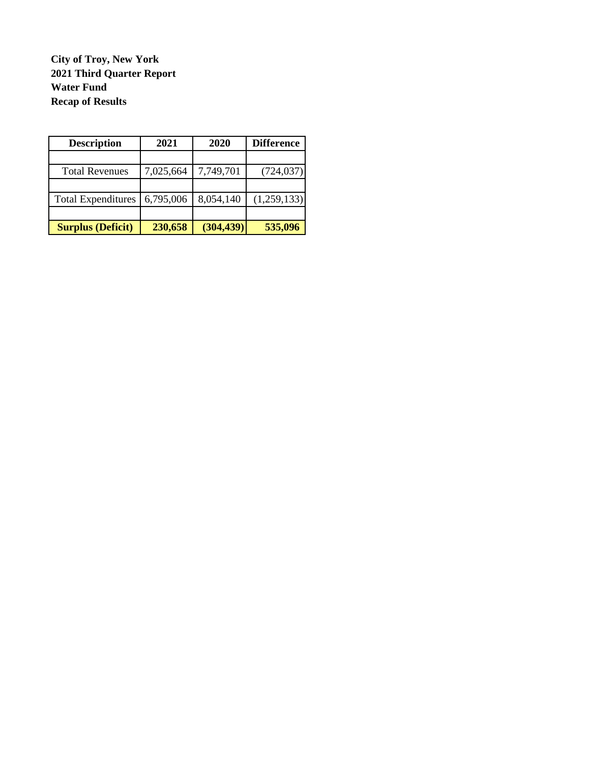**City of Troy, New York 2021 Third Quarter Report Water Fund Recap of Results**

| <b>Description</b>        | 2021      | 2020       | <b>Difference</b> |
|---------------------------|-----------|------------|-------------------|
|                           |           |            |                   |
| <b>Total Revenues</b>     | 7,025,664 | 7,749,701  | (724, 037)        |
|                           |           |            |                   |
| <b>Total Expenditures</b> | 6,795,006 | 8,054,140  | (1,259,133)       |
|                           |           |            |                   |
| <b>Surplus (Deficit)</b>  | 230,658   | (304, 439) | 535,096           |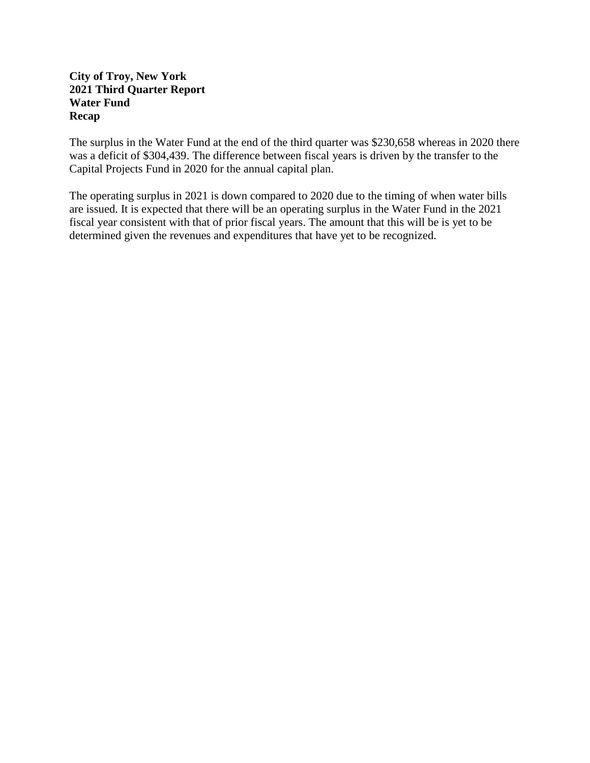## **City of Troy, New York 2021 Third Quarter Report Water Fund Recap**

The surplus in the Water Fund at the end of the third quarter was \$230,658 whereas in 2020 there was a deficit of \$304,439. The difference between fiscal years is driven by the transfer to the Capital Projects Fund in 2020 for the annual capital plan.

The operating surplus in 2021 is down compared to 2020 due to the timing of when water bills are issued. It is expected that there will be an operating surplus in the Water Fund in the 2021 fiscal year consistent with that of prior fiscal years. The amount that this will be is yet to be determined given the revenues and expenditures that have yet to be recognized.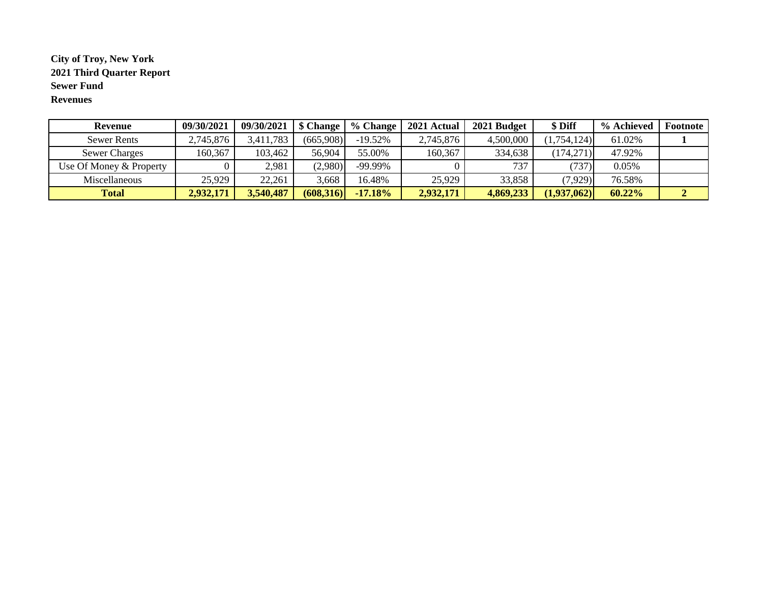### **City of Troy, New York 2021 Third Quarter Report Sewer Fund Revenues**

| Revenue                 | 09/30/2021 | 09/30/2021 | \$ Change | $%$ Change | 2021 Actual | 2021 Budget | \$ Diff     | % Achieved | Footnote |
|-------------------------|------------|------------|-----------|------------|-------------|-------------|-------------|------------|----------|
| <b>Sewer Rents</b>      | 2,745,876  | 3,411,783  | (665,908) | $-19.52%$  | 2,745,876   | 4,500,000   | (1,754,124) | 61.02%     |          |
| <b>Sewer Charges</b>    | 160,367    | 103,462    | 56,904    | 55.00%     | 160,367     | 334,638     | (174,271)   | 47.92%     |          |
| Use Of Money & Property |            | 2,981      | (2,980)   | -99.99%    |             | 737         | (737)       | 0.05%      |          |
| Miscellaneous           | 25,929     | 22,261     | 3,668     | 16.48%     | 25,929      | 33,858      | (7,929)     | 76.58%     |          |
| <b>Total</b>            | 2,932,171  | 3,540,487  | (608,316) | $-17.18%$  | 2,932,171   | 4,869,233   | (1,937,062) | 60.22%     |          |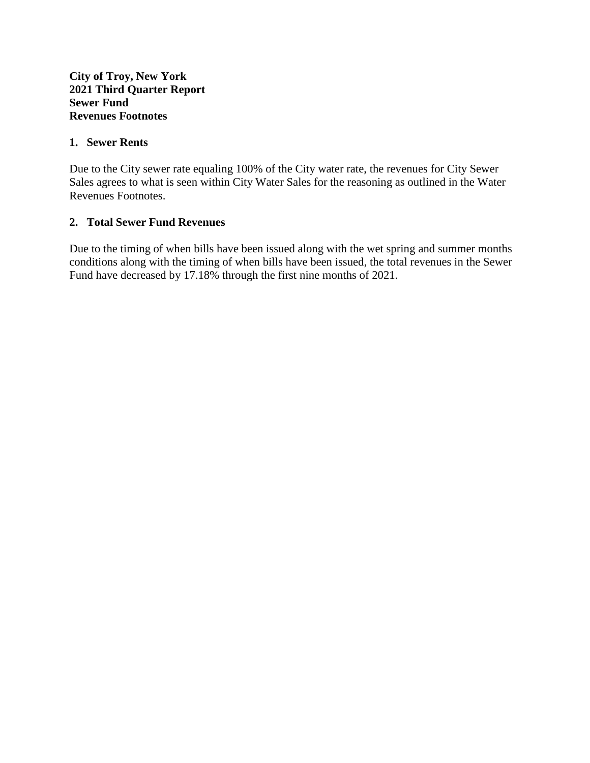## **1. Sewer Rents**

Due to the City sewer rate equaling 100% of the City water rate, the revenues for City Sewer Sales agrees to what is seen within City Water Sales for the reasoning as outlined in the Water Revenues Footnotes.

## **2. Total Sewer Fund Revenues**

Due to the timing of when bills have been issued along with the wet spring and summer months conditions along with the timing of when bills have been issued, the total revenues in the Sewer Fund have decreased by 17.18% through the first nine months of 2021.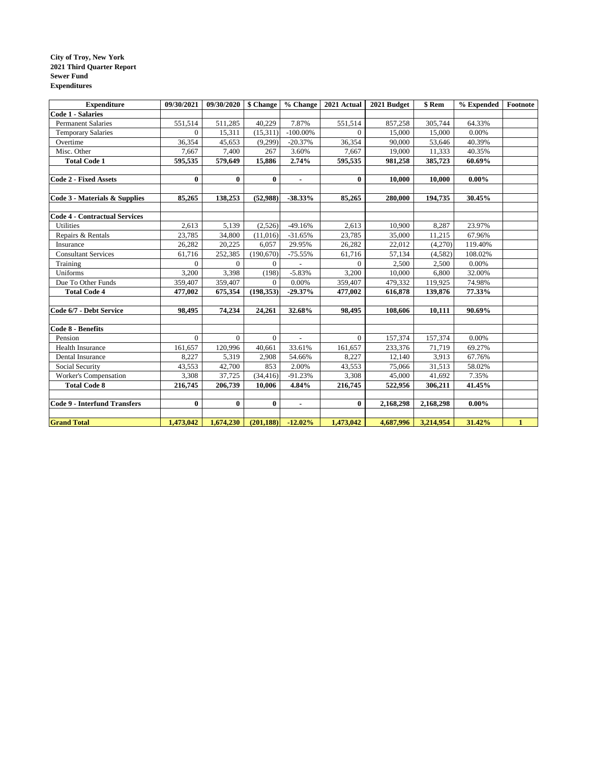#### **City of Troy, New York 2021 Third Quarter Report Sewer Fund Expenditures**

| <b>Expenditure</b>                   | 09/30/2021 | 09/30/2020   \$ Change |                | % Change       | 2021 Actual | 2021 Budget | \$ Rem    | % Expended | $\bf Footnote$ |
|--------------------------------------|------------|------------------------|----------------|----------------|-------------|-------------|-----------|------------|----------------|
| <b>Code 1 - Salaries</b>             |            |                        |                |                |             |             |           |            |                |
| <b>Permanent Salaries</b>            | 551.514    | 511,285                | 40.229         | 7.87%          | 551.514     | 857.258     | 305,744   | 64.33%     |                |
| <b>Temporary Salaries</b>            | $\Omega$   | 15,311                 | (15,311)       | $-100.00\%$    | $\Omega$    | 15,000      | 15,000    | 0.00%      |                |
| Overtime                             | 36,354     | 45,653                 | (9,299)        | $-20.37%$      | 36,354      | 90,000      | 53,646    | 40.39%     |                |
| Misc. Other                          | 7,667      | 7,400                  | 267            | 3.60%          | 7,667       | 19,000      | 11,333    | 40.35%     |                |
| <b>Total Code 1</b>                  | 595,535    | 579,649                | 15,886         | 2.74%          | 595,535     | 981,258     | 385,723   | 60.69%     |                |
|                                      |            |                        |                |                |             |             |           |            |                |
| <b>Code 2 - Fixed Assets</b>         | $\bf{0}$   | $\bf{0}$               | $\bf{0}$       | $\blacksquare$ | $\bf{0}$    | 10,000      | 10,000    | $0.00\%$   |                |
|                                      |            |                        |                |                |             |             |           |            |                |
| Code 3 - Materials & Supplies        | 85,265     | 138,253                | (52,988)       | $-38.33%$      | 85,265      | 280,000     | 194,735   | 30.45%     |                |
|                                      |            |                        |                |                |             |             |           |            |                |
| <b>Code 4 - Contractual Services</b> |            |                        |                |                |             |             |           |            |                |
| <b>Utilities</b>                     | 2,613      | 5,139                  | (2,526)        | $-49.16%$      | 2,613       | 10,900      | 8,287     | 23.97%     |                |
| Repairs & Rentals                    | 23,785     | 34,800                 | (11,016)       | $-31.65%$      | 23,785      | 35,000      | 11,215    | 67.96%     |                |
| Insurance                            | 26,282     | 20,225                 | 6,057          | 29.95%         | 26,282      | 22,012      | (4,270)   | 119.40%    |                |
| <b>Consultant Services</b>           | 61,716     | 252,385                | (190, 670)     | $-75.55%$      | 61,716      | 57,134      | (4.582)   | 108.02%    |                |
| Training                             | $\Omega$   | $\Omega$               | $\overline{0}$ |                | $\Omega$    | 2,500       | 2,500     | 0.00%      |                |
| Uniforms                             | 3,200      | 3,398                  | (198)          | $-5.83%$       | 3,200       | 10,000      | 6,800     | 32.00%     |                |
| Due To Other Funds                   | 359,407    | 359,407                | $\overline{0}$ | 0.00%          | 359,407     | 479,332     | 119,925   | 74.98%     |                |
| <b>Total Code 4</b>                  | 477,002    | 675,354                | (198, 353)     | $-29.37%$      | 477,002     | 616,878     | 139,876   | 77.33%     |                |
|                                      |            |                        |                |                |             |             |           |            |                |
| Code 6/7 - Debt Service              | 98,495     | 74,234                 | 24,261         | 32.68%         | 98,495      | 108,606     | 10,111    | 90.69%     |                |
|                                      |            |                        |                |                |             |             |           |            |                |
| Code 8 - Benefits                    |            |                        |                |                |             |             |           |            |                |
| Pension                              | $\Omega$   | $\Omega$               | $\Omega$       | $\frac{1}{2}$  | $\Omega$    | 157,374     | 157,374   | 0.00%      |                |
| Health Insurance                     | 161,657    | 120,996                | 40,661         | 33.61%         | 161,657     | 233,376     | 71,719    | 69.27%     |                |
| Dental Insurance                     | 8,227      | 5,319                  | 2,908          | 54.66%         | 8,227       | 12,140      | 3,913     | 67.76%     |                |
| Social Security                      | 43,553     | 42,700                 | 853            | 2.00%          | 43,553      | 75,066      | 31,513    | 58.02%     |                |
| Worker's Compensation                | 3,308      | 37,725                 | (34, 416)      | $-91.23%$      | 3,308       | 45,000      | 41,692    | 7.35%      |                |
| <b>Total Code 8</b>                  | 216,745    | 206,739                | 10,006         | 4.84%          | 216,745     | 522,956     | 306,211   | 41.45%     |                |
|                                      |            |                        |                |                |             |             |           |            |                |
| <b>Code 9 - Interfund Transfers</b>  | $\bf{0}$   | $\bf{0}$               | $\bf{0}$       | $\blacksquare$ | $\bf{0}$    | 2,168,298   | 2,168,298 | $0.00\%$   |                |
|                                      |            |                        |                |                |             |             |           |            |                |
| <b>Grand Total</b>                   | 1,473,042  | 1,674,230              | (201, 188)     | $-12.02%$      | 1,473,042   | 4,687,996   | 3,214,954 | 31.42%     | $\mathbf{1}$   |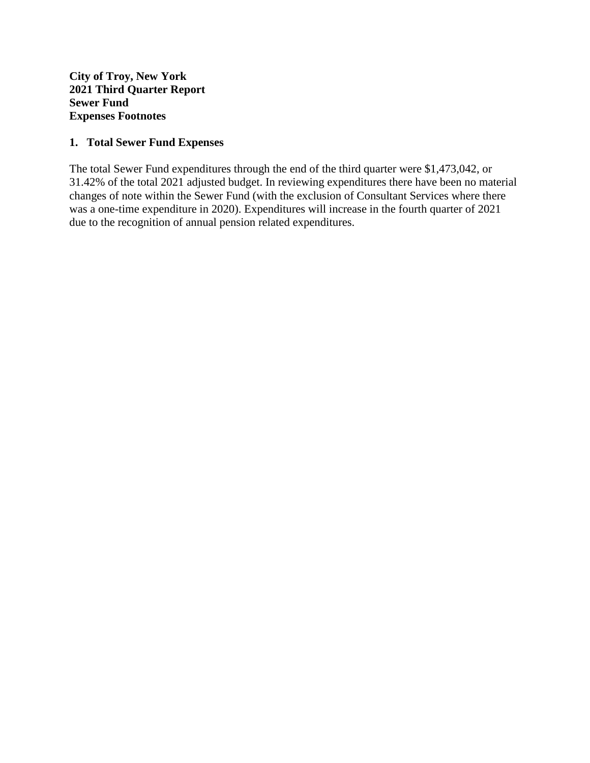**City of Troy, New York 2021 Third Quarter Report Sewer Fund Expenses Footnotes**

## **1. Total Sewer Fund Expenses**

The total Sewer Fund expenditures through the end of the third quarter were \$1,473,042, or 31.42% of the total 2021 adjusted budget. In reviewing expenditures there have been no material changes of note within the Sewer Fund (with the exclusion of Consultant Services where there was a one-time expenditure in 2020). Expenditures will increase in the fourth quarter of 2021 due to the recognition of annual pension related expenditures.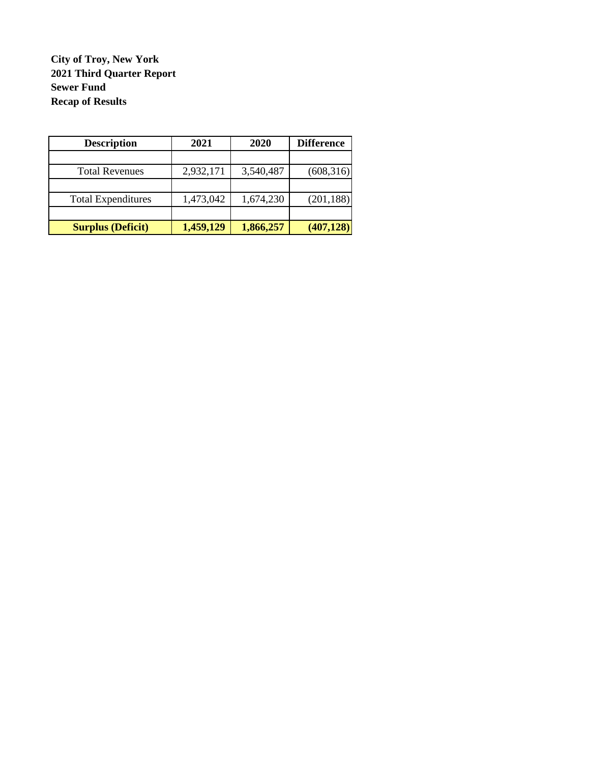**City of Troy, New York 2021 Third Quarter Report Sewer Fund Recap of Results**

| <b>Description</b>        | 2021      | 2020      | <b>Difference</b> |
|---------------------------|-----------|-----------|-------------------|
|                           |           |           |                   |
| <b>Total Revenues</b>     | 2,932,171 | 3,540,487 | (608, 316)        |
|                           |           |           |                   |
| <b>Total Expenditures</b> | 1,473,042 | 1,674,230 | (201, 188)        |
|                           |           |           |                   |
| <b>Surplus (Deficit)</b>  | 1,459,129 | 1,866,257 | (407, 128)        |